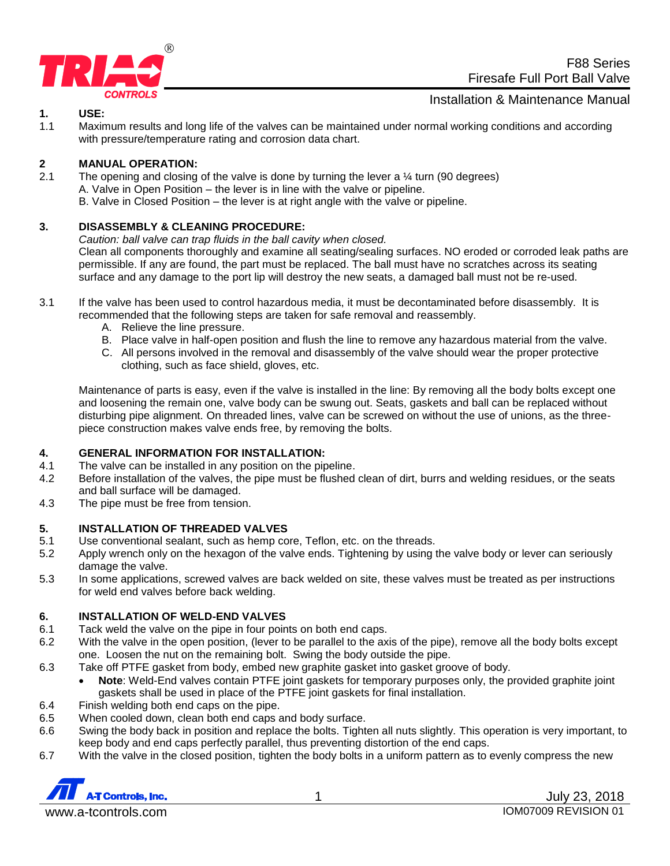

F88 Series Firesafe Full Port Ball Valve

# Installation & Maintenance Manual

#### **1. USE:**

1.1 Maximum results and long life of the valves can be maintained under normal working conditions and according with pressure/temperature rating and corrosion data chart.

#### **2 MANUAL OPERATION:**

2.1 The opening and closing of the valve is done by turning the lever a  $\frac{1}{4}$  turn (90 degrees) A. Valve in Open Position – the lever is in line with the valve or pipeline. B. Valve in Closed Position – the lever is at right angle with the valve or pipeline.

### **3. DISASSEMBLY & CLEANING PROCEDURE:**

*Caution: ball valve can trap fluids in the ball cavity when closed.*

Clean all components thoroughly and examine all seating/sealing surfaces. NO eroded or corroded leak paths are permissible. If any are found, the part must be replaced. The ball must have no scratches across its seating surface and any damage to the port lip will destroy the new seats, a damaged ball must not be re-used.

- 3.1 If the valve has been used to control hazardous media, it must be decontaminated before disassembly. It is recommended that the following steps are taken for safe removal and reassembly.
	- A. Relieve the line pressure.
	- B. Place valve in half-open position and flush the line to remove any hazardous material from the valve.
	- C. All persons involved in the removal and disassembly of the valve should wear the proper protective clothing, such as face shield, gloves, etc.

 Maintenance of parts is easy, even if the valve is installed in the line: By removing all the body bolts except one and loosening the remain one, valve body can be swung out. Seats, gaskets and ball can be replaced without disturbing pipe alignment. On threaded lines, valve can be screwed on without the use of unions, as the threepiece construction makes valve ends free, by removing the bolts.

#### **4. GENERAL INFORMATION FOR INSTALLATION:**

- 4.1 The valve can be installed in any position on the pipeline.
- 4.2 Before installation of the valves, the pipe must be flushed clean of dirt, burrs and welding residues, or the seats and ball surface will be damaged.
- 4.3 The pipe must be free from tension.

#### **5. INSTALLATION OF THREADED VALVES**

- 5.1 Use conventional sealant, such as hemp core, Teflon, etc. on the threads.
- 5.2 Apply wrench only on the hexagon of the valve ends. Tightening by using the valve body or lever can seriously damage the valve.
- 5.3 In some applications, screwed valves are back welded on site, these valves must be treated as per instructions for weld end valves before back welding.

#### **6. INSTALLATION OF WELD-END VALVES**

- 6.1 Tack weld the valve on the pipe in four points on both end caps.
- 6.2 With the valve in the open position, (lever to be parallel to the axis of the pipe), remove all the body bolts except one. Loosen the nut on the remaining bolt. Swing the body outside the pipe.
- 6.3 Take off PTFE gasket from body, embed new graphite gasket into gasket groove of body.
	- **Note**: Weld-End valves contain PTFE joint gaskets for temporary purposes only, the provided graphite joint gaskets shall be used in place of the PTFE joint gaskets for final installation.
- 6.4 Finish welding both end caps on the pipe.
- 6.5 When cooled down, clean both end caps and body surface.
- 6.6 Swing the body back in position and replace the bolts. Tighten all nuts slightly. This operation is very important, to keep body and end caps perfectly parallel, thus preventing distortion of the end caps.
- 6.7 With the valve in the closed position, tighten the body bolts in a uniform pattern as to evenly compress the new

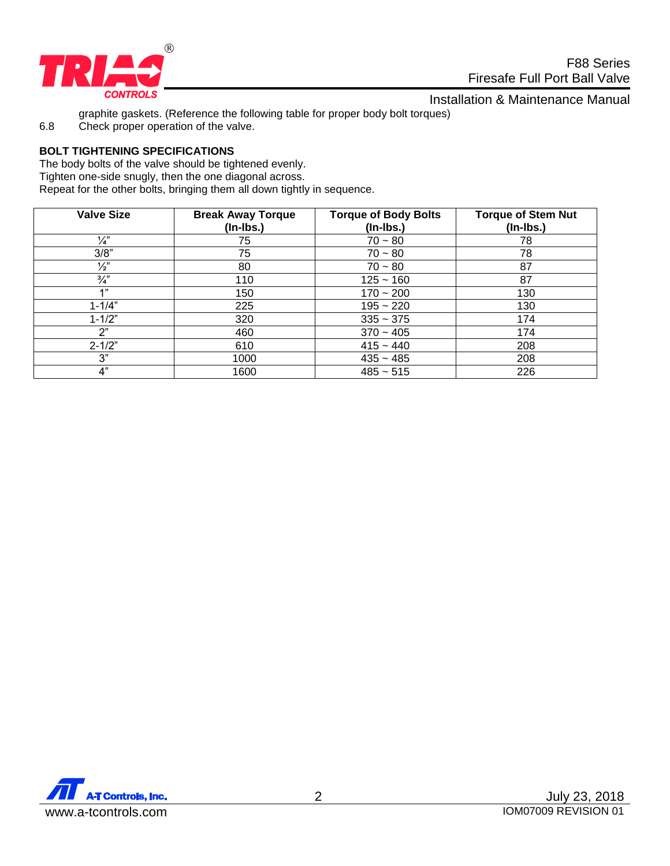



Installation & Maintenance Manual

graphite gaskets. (Reference the following table for proper body bolt torques)

6.8 Check proper operation of the valve.

## **BOLT TIGHTENING SPECIFICATIONS**

The body bolts of the valve should be tightened evenly. Tighten one-side snugly, then the one diagonal across. Repeat for the other bolts, bringing them all down tightly in sequence.

| <b>Valve Size</b> | <b>Break Away Torque</b><br>(In-Ibs.) | <b>Torque of Body Bolts</b><br>$($ ln-lbs. $)$ | <b>Torque of Stem Nut</b><br>$(In-lbs.)$ |
|-------------------|---------------------------------------|------------------------------------------------|------------------------------------------|
| $\frac{1}{4}$     | 75                                    | $70 - 80$                                      | 78                                       |
| 3/8"              | 75                                    | $70 - 80$                                      | 78                                       |
| $\frac{1}{2}$     | 80                                    | $70 - 80$                                      | 87                                       |
| $\frac{3}{4}$     | 110                                   | $125 - 160$                                    | 87                                       |
| 4"                | 150                                   | $170 - 200$                                    | 130                                      |
| $1 - 1/4"$        | 225                                   | $195 - 220$                                    | 130                                      |
| $1 - 1/2"$        | 320                                   | $335 - 375$                                    | 174                                      |
| 2"                | 460                                   | $370 - 405$                                    | 174                                      |
| $2 - 1/2"$        | 610                                   | $415 - 440$                                    | 208                                      |
| 3"                | 1000                                  | $435 - 485$                                    | 208                                      |
| 4"                | 1600                                  | $485 - 515$                                    | 226                                      |